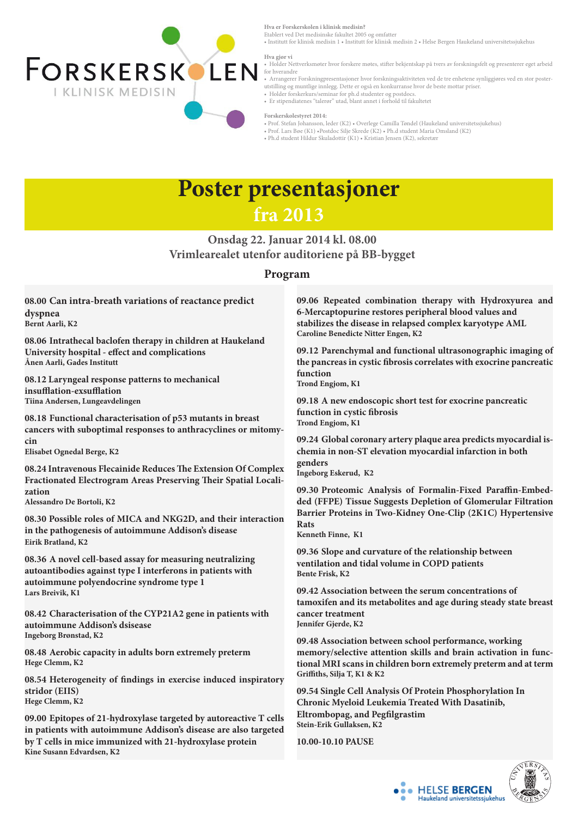## **Poster presentasjoner fra 2013**



**Hva er Forskerskolen i klinisk medisin?**

Etablert ved Det medisinske fakultet 2005 og omfatter

• Institutt for klinisk medisin 1 • Institutt for klinisk medisin 2 • Helse Bergen Haukeland universitetssjukehus

#### **Hva gjør vi**

- Holder Nettverksmøter hvor forskere møtes, stifter bekjentskap på tvers av forskningsfelt og presenterer eget arbeid for hverandre
- Arrangerer Forskningpresentasjoner hvor forskningsaktiviteten ved de tre enhetene synliggjøres ved en stor posterutstilling og muntlige innlegg. Dette er også en konkurranse hvor de beste mottar priser.
- Holder forskerkurs/seminar for ph.d studenter og postdocs.
- Er stipendiatenes "talerør" utad, blant annet i forhold til fakultetet

#### **Forskerskolestyret 2014:**

- Prof. Stefan Johansson, leder (K2) Overlege Camilla Tøndel (Haukeland universitetssjukehus)
- Prof. Lars Bøe (K1) •Postdoc Silje Skrede (K2) Ph.d student Maria Omsland (K2)
- Ph.d student Hildur Skuladottir (K1) Kristian Jensen (K2), sekretær

## **Onsdag 22. Januar 2014 kl. 08.00 Vrimlearealet utenfor auditoriene på BB-bygget**

**08.00 Can intra-breath variations of reactance predict dyspnea Bernt Aarli, K2**

**08.06 Intrathecal baclofen therapy in children at Haukeland University hospital - effect and complications Ånen Aarli, Gades Institutt**

**08.12 Laryngeal response patterns to mechanical insufflation-exsufflation Tiina Andersen, Lungeavdelingen** 

**08.18 Functional characterisation of p53 mutants in breast cancers with suboptimal responses to anthracyclines or mitomycin Elisabet Ognedal Berge, K2**

**08.24 Intravenous Flecainide Reduces The Extension Of Complex Fractionated Electrogram Areas Preserving Their Spatial Localization Alessandro De Bortoli, K2**

**08.30 Possible roles of MICA and NKG2D, and their interaction in the pathogenesis of autoimmune Addison's disease Eirik Bratland, K2** 

**08.36 A novel cell-based assay for measuring neutralizing autoantibodies against type I interferons in patients with autoimmune polyendocrine syndrome type 1 Lars Breivik, K1**

**08.42 Characterisation of the CYP21A2 gene in patients with** 

**autoimmune Addison's dsisease Ingeborg Brønstad, K2** 

**08.48 Aerobic capacity in adults born extremely preterm Hege Clemm, K2**

**08.54 Heterogeneity of findings in exercise induced inspiratory stridor (EIIS) Hege Clemm, K2**

**09.00 Epitopes of 21-hydroxylase targeted by autoreactive T cells in patients with autoimmune Addison's disease are also targeted by T cells in mice immunized with 21-hydroxylase protein Kine Susann Edvardsen, K2**

### **Program**

**09.06 Repeated combination therapy with Hydroxyurea and 6-Mercaptopurine restores peripheral blood values and stabilizes the disease in relapsed complex karyotype AML Caroline Benedicte Nitter Engen, K2** 

**09.12 Parenchymal and functional ultrasonographic imaging of the pancreas in cystic fibrosis correlates with exocrine pancreatic function**

**Trond Engjom, K1**

**09.18 A new endoscopic short test for exocrine pancreatic function in cystic fibrosis Trond Engjom, K1**

**09.24 Global coronary artery plaque area predicts myocardial ischemia in non-ST elevation myocardial infarction in both genders Ingeborg Eskerud, K2**

**09.30 Proteomic Analysis of Formalin-Fixed Paraffin-Embedded (FFPE) Tissue Suggests Depletion of Glomerular Filtration Barrier Proteins in Two-Kidney One-Clip (2K1C) Hypertensive Rats**

**Kenneth Finne, K1**

**09.36 Slope and curvature of the relationship between ventilation and tidal volume in COPD patients Bente Frisk, K2**

**09.42 Association between the serum concentrations of tamoxifen and its metabolites and age during steady state breast cancer treatment**

**Jennifer Gjerde, K2**

**09.48 Association between school performance, working memory/selective attention skills and brain activation in functional MRI scans in children born extremely preterm and at term Griffiths, Silja T, K1 & K2**

**09.54 Single Cell Analysis Of Protein Phosphorylation In Chronic Myeloid Leukemia Treated With Dasatinib, Eltrombopag, and Pegfilgrastim Stein-Erik Gullaksen, K2**

**10.00-10.10 PAUSE**